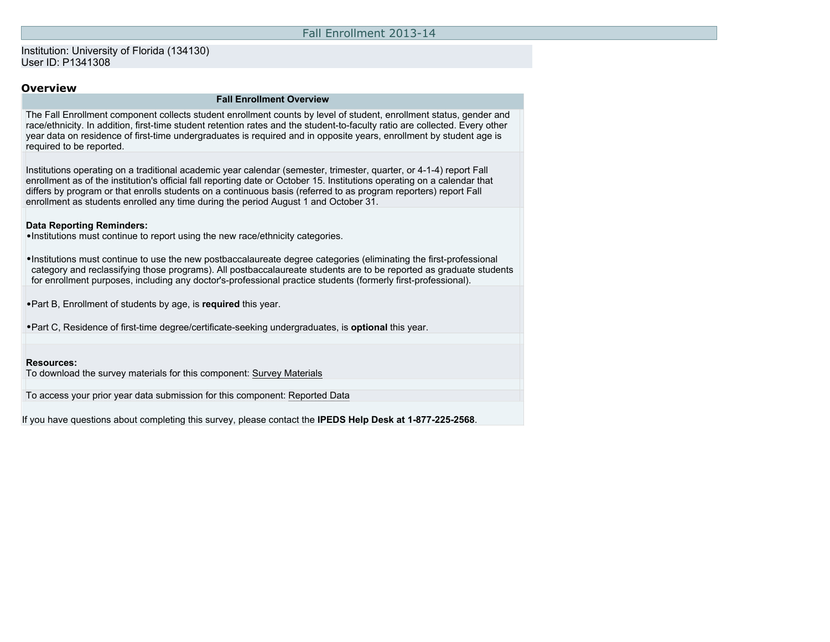## Fall Enrollment 2013-14

## Institution: University of Florida (134130) User ID: P1341308

## **Overview**

#### **Fall Enrollment Overview**

The Fall Enrollment component collects student enrollment counts by level of student, enrollment status, gender and race/ethnicity. In addition, first-time student retention rates and the student-to-faculty ratio are collected. Every other year data on residence of first-time undergraduates is required and in opposite years, enrollment by student age is required to be reported.

Institutions operating on a traditional academic year calendar (semester, trimester, quarter, or 4-1-4) report Fall enrollment as of the institution's official fall reporting date or October 15. Institutions operating on a calendar that differs by program or that enrolls students on a continuous basis (referred to as program reporters) report Fall enrollment as students enrolled any time during the period August 1 and October 31.

#### **Data Reporting Reminders:**

•Institutions must continue to report using the new race/ethnicity categories.

•Institutions must continue to use the new postbaccalaureate degree categories (eliminating the first-professional category and reclassifying those programs). All postbaccalaureate students are to be reported as graduate students for enrollment purposes, including any doctor's-professional practice students (formerly first-professional).

•Part B, Enrollment of students by age, is **required** this year.

•Part C, Residence of first-time degree/certificate-seeking undergraduates, is **optional** this year.

#### **Resources:**

To download the survey materials for this component: [Survey Materials](https://surveys.nces.ed.gov/ipeds/VisIndex.aspx)

To access your prior year data submission for this component: [Reported Data](https://surveys.nces.ed.gov/IPEDS/PriorYearDataRedirect.aspx?survey_id=6)

If you have questions about completing this survey, please contact the **IPEDS Help Desk at 1-877-225-2568**.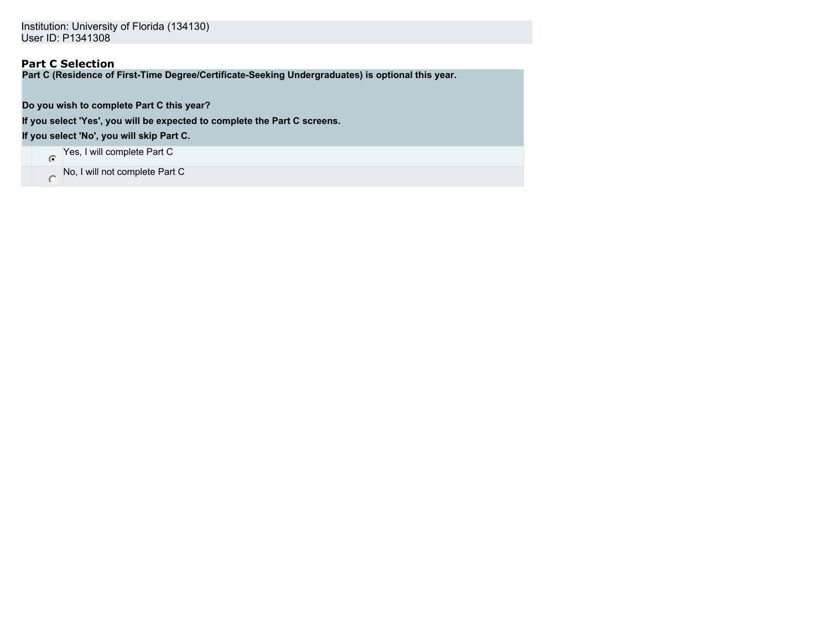# **Part C Selection**

**Part C (Residence of First-Time Degree/Certificate-Seeking Undergraduates) is optional this year.**

**Do you wish to complete Part C this year?**

**If you select 'Yes', you will be expected to complete the Part C screens.**

**If you select 'No', you will skip Part C.**

Yes, I will complete Part C

No, I will not complete Part C  $\circ$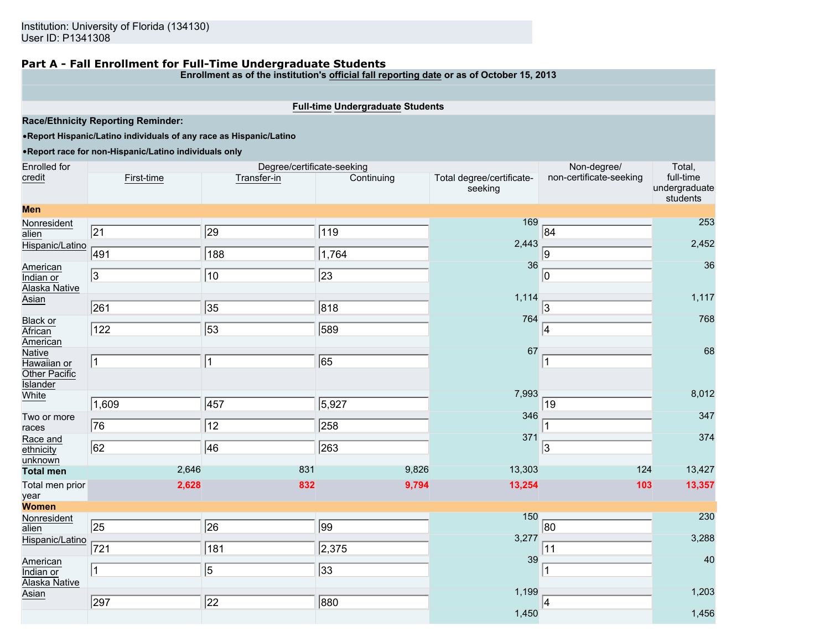## **Part A - Fall Enrollment for Full-Time Undergraduate Students**

**Enrollment as of the institution's official fall reporting date or as of October 15, 2013**

## **Full-time Undergraduate Students**

**Race/Ethnicity Reporting Reminder:**

## •**Report Hispanic/Latino individuals of any race as Hispanic/Latino**

#### •**Report race for non-Hispanic/Latino individuals only**

| Enrolled for                                  |             | Degree/certificate-seeking |                 |                                      | Non-degree/             | Total,                                 |
|-----------------------------------------------|-------------|----------------------------|-----------------|--------------------------------------|-------------------------|----------------------------------------|
| credit                                        | First-time  | Transfer-in                | Continuing      | Total degree/certificate-<br>seeking | non-certificate-seeking | full-time<br>undergraduate<br>students |
| <b>Men</b>                                    |             |                            |                 |                                      |                         |                                        |
| Nonresident<br>alien                          | $\sqrt{21}$ | $\sqrt{29}$                | 119             | 169                                  | 84                      | 253                                    |
| Hispanic/Latino                               | 491         | $\sqrt{188}$               | 1,764           | 2,443                                | 9                       | 2,452                                  |
| American<br>Indian or<br>Alaska Native        | 3           | $\sqrt{10}$                | $\sqrt{23}$     | 36                                   | 10                      | 36                                     |
| Asian                                         | 261         | $\overline{35}$            | $\sqrt{818}$    | 1,114                                | 3                       | 1,117                                  |
| <b>Black or</b><br>African<br>American        | 122         | $\overline{53}$            | 589             | 764                                  | 4                       | 768                                    |
| Native<br>Hawaiian or<br>Other Pacific        | 1           | 1                          | 65              | 67                                   | 11                      | 68                                     |
| <b>Islander</b><br>White                      | 1,609       | $\sqrt{457}$               | 5,927           | 7,993                                | 19                      | 8,012                                  |
| Two or more<br>races                          | 76          | 12                         | 258             | 346                                  |                         | 347                                    |
| Race and<br>ethnicity<br>unknown              | 62          | 46                         | 263             | 371                                  | 3                       | 374                                    |
| <b>Total men</b>                              | 2,646       | 831                        | 9,826           | 13,303                               | 124                     | 13,427                                 |
| Total men prior<br>year                       | 2,628       | 832                        | 9,794           | 13,254                               | 103                     | 13,357                                 |
| <b>Women</b>                                  |             |                            |                 |                                      |                         |                                        |
| Nonresident<br>alien<br>Hispanic/Latino       | $\sqrt{25}$ | $\overline{26}$            | $\sqrt{99}$     | 150<br>3,277                         | 80                      | 230<br>3,288                           |
|                                               | 721         | $\sqrt{181}$               | 2,375           | 39                                   | 11                      | 40                                     |
| American<br>Indian or<br><b>Alaska Native</b> | $\vert$ 1   | 5                          | $\overline{33}$ |                                      | 1                       |                                        |
| Asian                                         | 297         | $\overline{22}$            | 880             | 1,199                                | 4                       | 1,203                                  |
|                                               |             |                            |                 | 1,450                                |                         | 1,456                                  |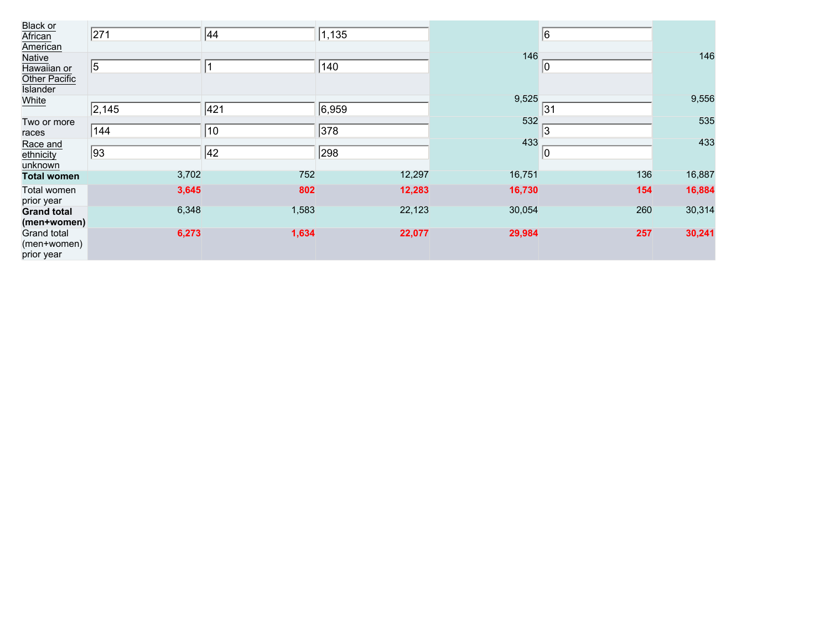| Black or           |                 |       |        |        |             |        |
|--------------------|-----------------|-------|--------|--------|-------------|--------|
| African            | 271             | 44    | 1, 135 |        | 6           |        |
| American           |                 |       |        |        |             |        |
| Native             |                 |       |        | 146    |             | 146    |
| Hawaiian or        | $\vert 5 \vert$ |       | 140    |        | $ 0\rangle$ |        |
| Other Pacific      |                 |       |        |        |             |        |
| Islander           |                 |       |        |        |             |        |
| White              |                 |       |        | 9,525  |             | 9,556  |
|                    | 2,145           | 421   | 6,959  |        | 31          |        |
| Two or more        |                 |       |        | 532    |             | 535    |
| races              | 144             | 10    | 378    |        | 3           |        |
| Race and           |                 |       |        | 433    |             | 433    |
| ethnicity          | 93              | 42    | 298    |        | $ 0\rangle$ |        |
| unknown            |                 |       |        |        |             |        |
| <b>Total women</b> | 3,702           | 752   | 12,297 | 16,751 | 136         | 16,887 |
| Total women        | 3,645           | 802   | 12,283 | 16,730 | 154         | 16,884 |
| prior year         |                 |       |        |        |             |        |
| <b>Grand total</b> | 6,348           | 1,583 | 22,123 | 30,054 | 260         | 30,314 |
| (men+women)        |                 |       |        |        |             |        |
| <b>Grand total</b> | 6,273           | 1,634 | 22,077 | 29,984 | 257         | 30,241 |
| (men+women)        |                 |       |        |        |             |        |
| prior year         |                 |       |        |        |             |        |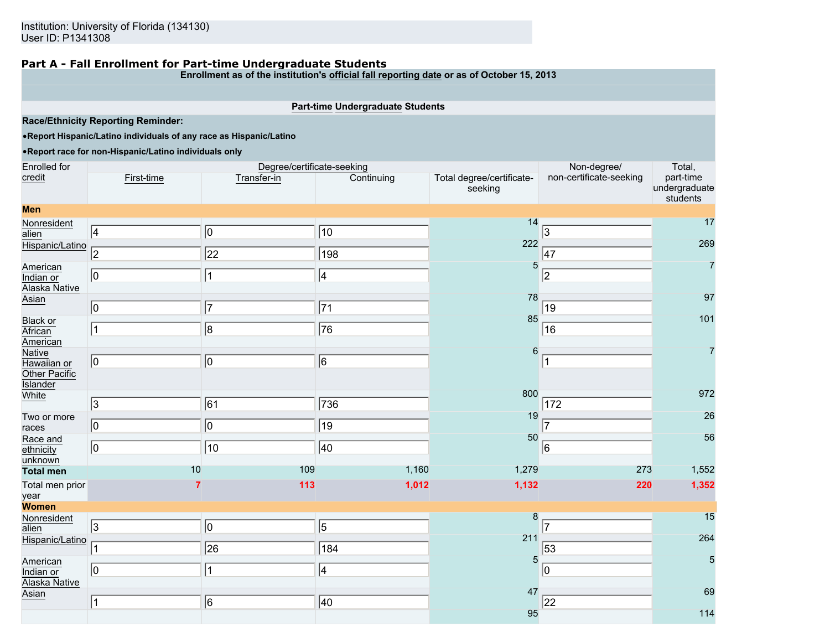### **Part A - Fall Enrollment for Part-time Undergraduate Students**

**Enrollment as of the institution's official fall reporting date or as of October 15, 2013**

## **Part-time Undergraduate Students**

**Race/Ethnicity Reporting Reminder:**

•**Report Hispanic/Latino individuals of any race as Hispanic/Latino**

### •**Report race for non-Hispanic/Latino individuals only**

| Enrolled for                                                     |                | Degree/certificate-seeking |                 |                                      | Non-degree/             | Total,                                 |
|------------------------------------------------------------------|----------------|----------------------------|-----------------|--------------------------------------|-------------------------|----------------------------------------|
| credit                                                           | First-time     | Transfer-in                | Continuing      | Total degree/certificate-<br>seeking | non-certificate-seeking | part-time<br>undergraduate<br>students |
| <b>Men</b>                                                       |                |                            |                 |                                      |                         |                                        |
| Nonresident<br>alien                                             | $\sqrt{4}$     | $\sqrt{0}$                 | $\sqrt{10}$     | 14                                   | 3                       | 17                                     |
| Hispanic/Latino                                                  | $\overline{2}$ | $\sqrt{22}$                | 198             | 222                                  | 47                      | 269                                    |
| American<br>Indian or<br><b>Alaska Native</b>                    | $ 0\rangle$    | 1                          | $\sqrt{4}$      | 5                                    | 2                       | $\overline{7}$                         |
| Asian                                                            | $ 0\rangle$    | 7                          | $\overline{71}$ | 78                                   | 19                      | 97                                     |
| <b>Black or</b><br>African<br>American                           | 11             | $\sqrt{8}$                 | $\overline{76}$ | 85                                   | 16                      | 101                                    |
| <b>Native</b><br>Hawaiian or<br>Other Pacific<br><b>Islander</b> | $\overline{0}$ | $ 0\rangle$                | $\sqrt{6}$      | 6                                    | 11                      | $\overline{7}$                         |
| White                                                            | $\sqrt{3}$     | $\overline{61}$            | 736             | 800                                  | 172                     | 972                                    |
| Two or more<br>races                                             | $ 0\rangle$    | $\sqrt{0}$                 | $\sqrt{19}$     | 19                                   | 17                      | 26                                     |
| Race and<br>ethnicity<br>unknown                                 | 10             | $\sqrt{10}$                | 40              | 50                                   | 6                       | 56                                     |
| <b>Total men</b>                                                 | 10             | 109                        | 1,160           | 1,279                                | 273                     | 1,552                                  |
| Total men prior<br>year                                          |                | 113                        | 1,012           | 1,132                                | 220                     | 1,352                                  |
| <b>Women</b>                                                     |                |                            |                 | 8                                    |                         | 15                                     |
| Nonresident<br>alien<br>Hispanic/Latino                          | $\sqrt{3}$     | $\overline{0}$             | $\sqrt{5}$      | 211                                  | 17                      | 264                                    |
|                                                                  | 1              | $\overline{26}$            | $\sqrt{184}$    | $\overline{5}$                       | 53                      | 5                                      |
| American<br>Indian or<br><b>Alaska Native</b>                    | $ 0\rangle$    | $\mathbf{1}$               | $\sqrt{4}$      |                                      | $ 0\rangle$             |                                        |
| Asian                                                            | 1              | 6                          | 40              | 47                                   | 22                      | 69                                     |
|                                                                  |                |                            |                 | 95                                   |                         | 114                                    |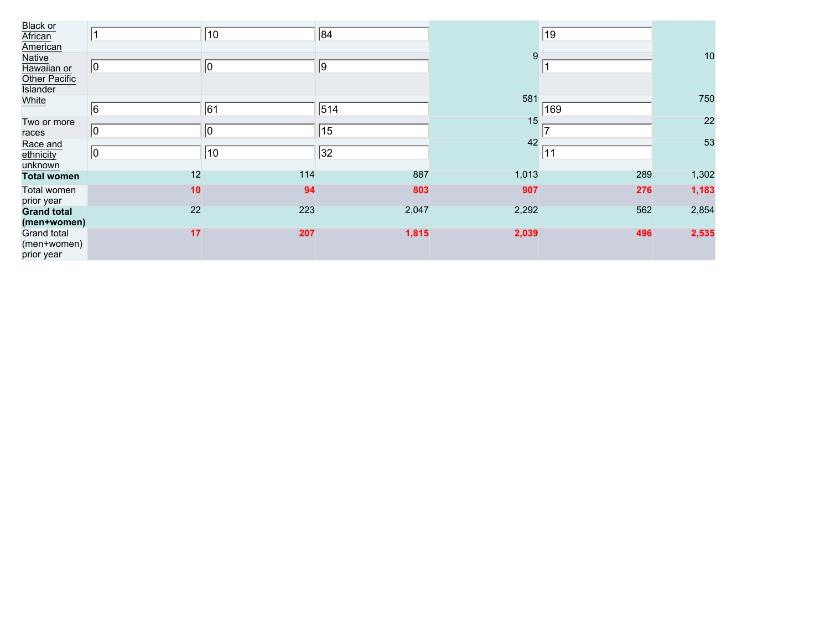| <b>Black or</b>    |             |              |       |       |     |       |
|--------------------|-------------|--------------|-------|-------|-----|-------|
| African            |             | 10           | 84    |       | 19  |       |
| American           |             |              |       |       |     |       |
| Native             |             |              |       | 9     |     | 10    |
| Hawaiian or        | $ 0\rangle$ | $ 0\rangle$  | 9     |       |     |       |
| Other Pacific      |             |              |       |       |     |       |
| <b>Islander</b>    |             |              |       |       |     |       |
| White              |             |              |       | 581   |     | 750   |
|                    | 6           | 61           | 514   |       | 169 |       |
| Two or more        |             |              |       | 15    |     | 22    |
| races              | $ 0\rangle$ | $ 0\rangle$  | 15    |       |     |       |
| Race and           |             |              |       | 42    |     | 53    |
| ethnicity          | $ 0\rangle$ | $ 10\rangle$ | 32    |       | 11  |       |
| unknown            |             |              |       |       |     |       |
| <b>Total women</b> | 12          | 114          | 887   | 1,013 | 289 | 1,302 |
| Total women        | 10          | 94           | 803   | 907   | 276 | 1,183 |
| prior year         |             |              |       |       |     |       |
| <b>Grand total</b> | 22          | 223          | 2,047 | 2,292 | 562 | 2,854 |
| (men+women)        |             |              |       |       |     |       |
| Grand total        | 17          | 207          | 1,815 | 2,039 | 496 | 2,535 |
| (men+women)        |             |              |       |       |     |       |
| prior year         |             |              |       |       |     |       |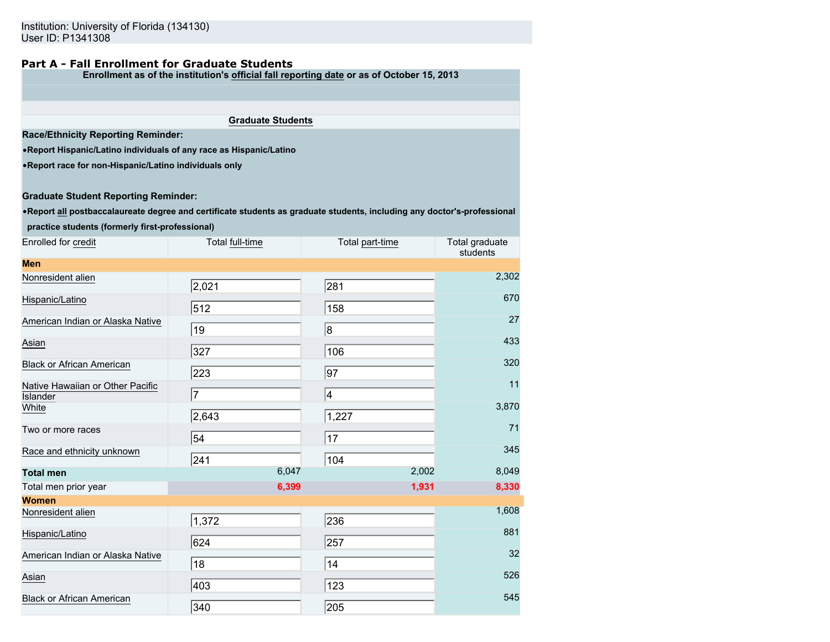# **Part A - Fall Enrollment for Graduate Students**

**Enrollment as of the institution's official fall reporting date or as of October 15, 2013**

**Graduate Students**

**Race/Ethnicity Reporting Reminder:**

•**Report Hispanic/Latino individuals of any race as Hispanic/Latino**

•**Report race for non-Hispanic/Latino individuals only**

#### **Graduate Student Reporting Reminder:**

•**Report all postbaccalaureate degree and certificate students as graduate students, including any doctor's-professional**

**practice students (formerly first-professional)**

| Enrolled for credit                                 | Total full-time | Total part-time | Total graduate<br>students |
|-----------------------------------------------------|-----------------|-----------------|----------------------------|
| <b>Men</b>                                          |                 |                 |                            |
| Nonresident alien                                   | 2,021           | 281             | 2,302                      |
| Hispanic/Latino                                     | 512             | 158             | 670                        |
| American Indian or Alaska Native                    | 19              | 8               | 27                         |
| Asian                                               | 327             | 106             | 433                        |
| Black or African American                           | 223             | 97              | 320                        |
| Native Hawaiian or Other Pacific<br><b>Islander</b> | $\overline{7}$  | 4               | 11                         |
| White                                               | 2,643           | 1,227           | 3,870                      |
| Two or more races                                   | 54              | 17              | 71                         |
| Race and ethnicity unknown                          | 241             | 104             | 345                        |
| <b>Total men</b>                                    | 6,047           | 2,002           | 8,049                      |
| Total men prior year                                | 6,399           | 1,931           | 8,330                      |
| <b>Women</b>                                        |                 |                 |                            |
| Nonresident alien                                   | 1,372           | 236             | 1,608                      |
| Hispanic/Latino                                     | 624             | 257             | 881                        |
| American Indian or Alaska Native                    | 18              | 14              | 32                         |
| Asian                                               | 403             | 123             | 526                        |
| <b>Black or African American</b>                    | 340             | 205             | 545                        |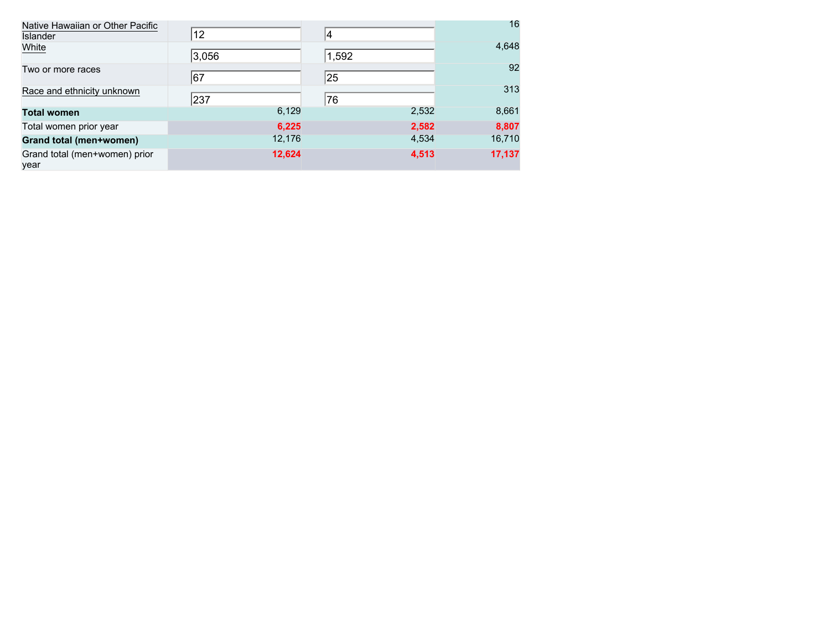| Native Hawaiian or Other Pacific<br>Islander | 12     |       | 16     |
|----------------------------------------------|--------|-------|--------|
| White                                        | 3,056  | 1,592 | 4,648  |
| Two or more races                            | 67     | 25    | 92     |
| Race and ethnicity unknown                   | 237    | 76    | 313    |
| <b>Total women</b>                           | 6,129  | 2,532 | 8,661  |
| Total women prior year                       | 6,225  | 2,582 | 8,807  |
| Grand total (men+women)                      | 12,176 | 4,534 | 16,710 |
| Grand total (men+women) prior<br>year        | 12,624 | 4,513 | 17,137 |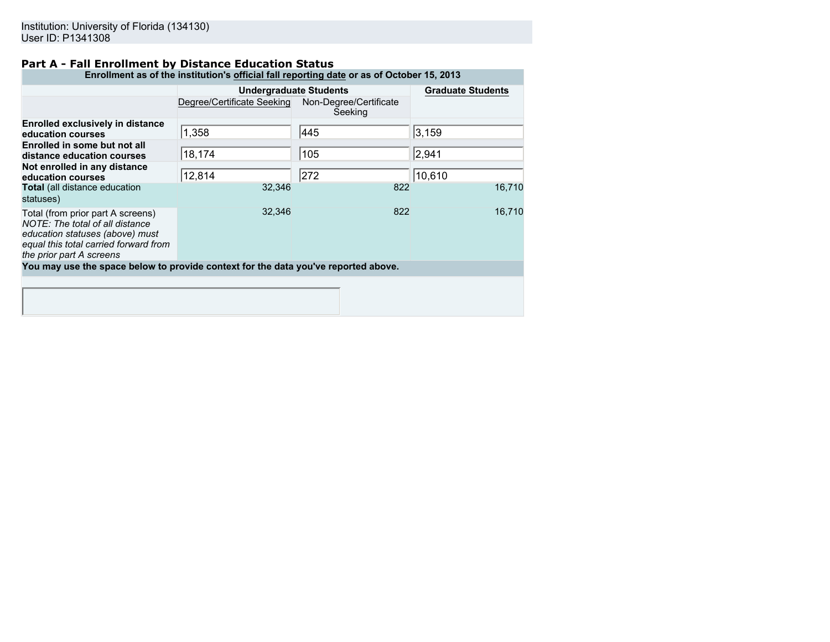# **Part A - Fall Enrollment by Distance Education Status**

| Enrollment as of the institution's official fall reporting date or as of October 15, 2013                                                                                    |                               |                                   |                          |  |  |
|------------------------------------------------------------------------------------------------------------------------------------------------------------------------------|-------------------------------|-----------------------------------|--------------------------|--|--|
|                                                                                                                                                                              | <b>Undergraduate Students</b> |                                   | <b>Graduate Students</b> |  |  |
|                                                                                                                                                                              | Degree/Certificate Seeking    | Non-Degree/Certificate<br>Seeking |                          |  |  |
| <b>Enrolled exclusively in distance</b><br>education courses                                                                                                                 | 1,358                         | 445                               | 3,159                    |  |  |
| Enrolled in some but not all<br>distance education courses                                                                                                                   | 18,174                        | 105                               | 2,941                    |  |  |
| Not enrolled in any distance<br>education courses                                                                                                                            | 12,814                        | 272                               | 10,610                   |  |  |
| <b>Total</b> (all distance education<br>statuses)                                                                                                                            | 32,346                        | 822                               | 16,710                   |  |  |
| Total (from prior part A screens)<br>NOTE: The total of all distance<br>education statuses (above) must<br>equal this total carried forward from<br>the prior part A screens | 32,346                        | 822                               | 16,710                   |  |  |
| You may use the space below to provide context for the data you've reported above.                                                                                           |                               |                                   |                          |  |  |
|                                                                                                                                                                              |                               |                                   |                          |  |  |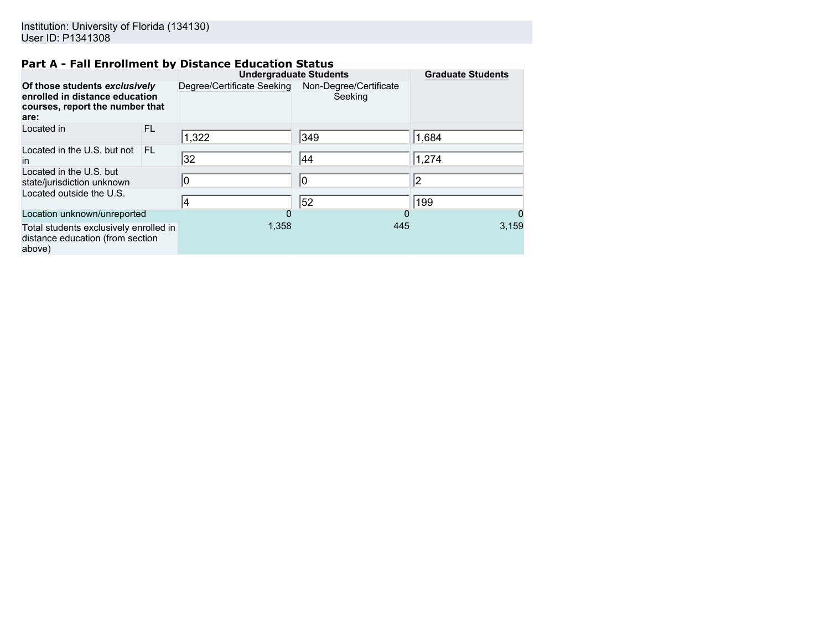# **Part A - Fall Enrollment by Distance Education Status**

|                                                                                                            |     | <b>Undergraduate Students</b> |                                   | <b>Graduate Students</b> |
|------------------------------------------------------------------------------------------------------------|-----|-------------------------------|-----------------------------------|--------------------------|
| Of those students exclusively<br>enrolled in distance education<br>courses, report the number that<br>are: |     | Degree/Certificate Seeking    | Non-Degree/Certificate<br>Seeking |                          |
| Located in                                                                                                 | FL. | 1,322                         | 349                               | 1,684                    |
| Located in the U.S. but not<br>$\mathsf{I}$                                                                | FL  | 32                            | 44                                | 1,274                    |
| Located in the U.S. but<br>state/jurisdiction unknown                                                      |     | 10                            | 10                                | 2                        |
| Located outside the U.S.                                                                                   |     | 14                            | 52                                | 199                      |
| Location unknown/unreported                                                                                |     | 0                             |                                   | $\Omega$                 |
| Total students exclusively enrolled in<br>distance education (from section<br>above)                       |     | 1,358                         | 445                               | 3,159                    |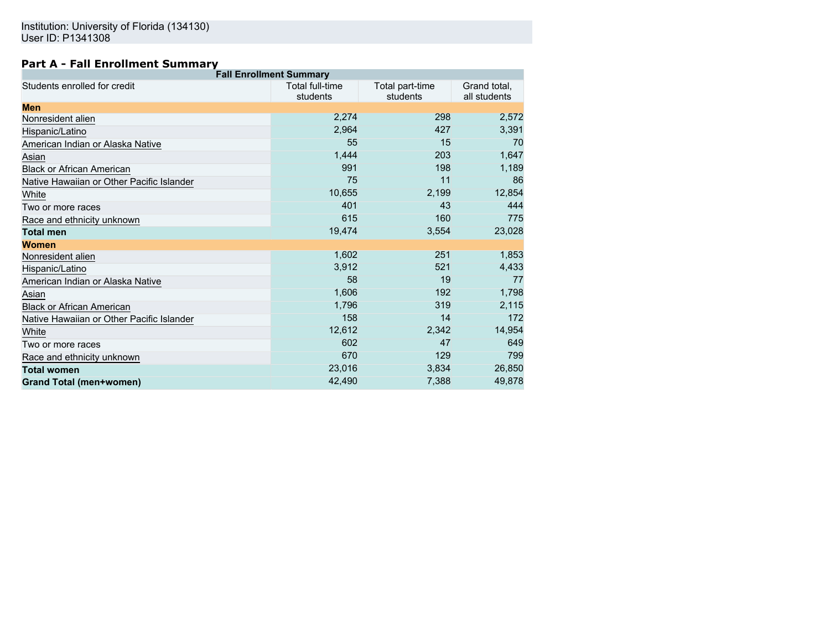# **Part A - Fall Enrollment Summary**

| <b>Fall Enrollment Summary</b>            |                                    |                             |                              |  |  |  |
|-------------------------------------------|------------------------------------|-----------------------------|------------------------------|--|--|--|
| Students enrolled for credit              | <b>Total full-time</b><br>students | Total part-time<br>students | Grand total,<br>all students |  |  |  |
| <b>Men</b>                                |                                    |                             |                              |  |  |  |
| Nonresident alien                         | 2,274                              | 298                         | 2,572                        |  |  |  |
| Hispanic/Latino                           | 2,964                              | 427                         | 3,391                        |  |  |  |
| American Indian or Alaska Native          | 55                                 | 15                          | 70                           |  |  |  |
| Asian                                     | 1,444                              | 203                         | 1,647                        |  |  |  |
| <b>Black or African American</b>          | 991                                | 198                         | 1,189                        |  |  |  |
| Native Hawaiian or Other Pacific Islander | 75                                 | 11                          | 86                           |  |  |  |
| White                                     | 10,655                             | 2,199                       | 12,854                       |  |  |  |
| Two or more races                         | 401                                | 43                          | 444                          |  |  |  |
| Race and ethnicity unknown                | 615                                | 160                         | 775                          |  |  |  |
| <b>Total men</b>                          | 19,474                             | 3,554                       | 23,028                       |  |  |  |
| Women                                     |                                    |                             |                              |  |  |  |
| Nonresident alien                         | 1,602                              | 251                         | 1,853                        |  |  |  |
| Hispanic/Latino                           | 3,912                              | 521                         | 4,433                        |  |  |  |
| American Indian or Alaska Native          | 58                                 | 19                          | 77                           |  |  |  |
| Asian                                     | 1,606                              | 192                         | 1,798                        |  |  |  |
| <b>Black or African American</b>          | 1,796                              | 319                         | 2,115                        |  |  |  |
| Native Hawaiian or Other Pacific Islander | 158                                | 14                          | 172                          |  |  |  |
| White                                     | 12,612                             | 2,342                       | 14,954                       |  |  |  |
| Two or more races                         | 602                                | 47                          | 649                          |  |  |  |
| Race and ethnicity unknown                | 670                                | 129                         | 799                          |  |  |  |
| <b>Total women</b>                        | 23,016                             | 3,834                       | 26,850                       |  |  |  |
| <b>Grand Total (men+women)</b>            | 42,490                             | 7,388                       | 49,878                       |  |  |  |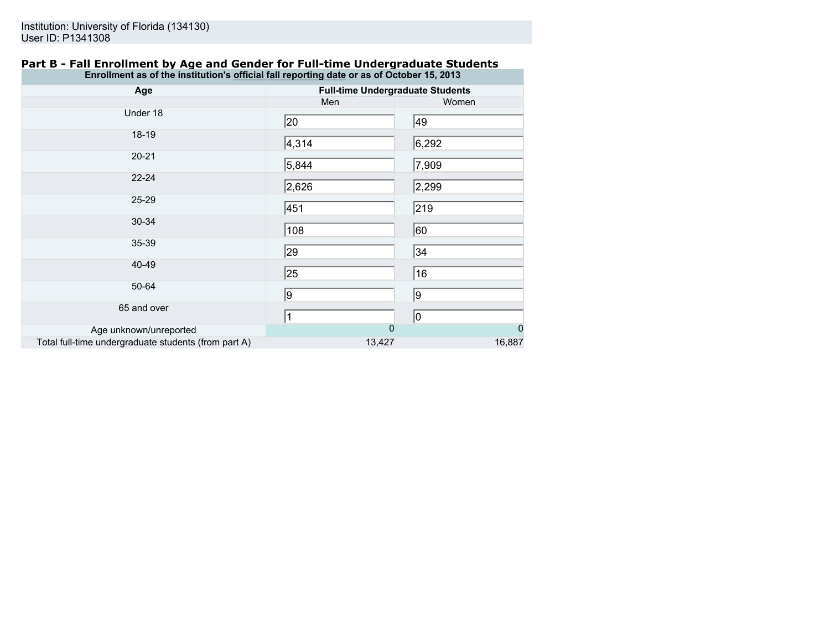### **Part B - Fall Enrollment by Age and Gender for Full-time Undergraduate Students Enrollment as of the institution's official fall reporting date or as of October 15, 2013**

| Age                                                  | <b>Full-time Undergraduate Students</b> |                |  |
|------------------------------------------------------|-----------------------------------------|----------------|--|
|                                                      | Men                                     | Women          |  |
| Under 18                                             | 20                                      | 49             |  |
| 18-19                                                | 4,314                                   | 6,292          |  |
| $20 - 21$                                            | 5,844                                   | 7,909          |  |
| $22 - 24$                                            | 2,626                                   | 2,299          |  |
| 25-29                                                | 451                                     | 219            |  |
| 30-34                                                | 108                                     | 60             |  |
| 35-39                                                | 29                                      | 34             |  |
| 40-49                                                | 25                                      | 16             |  |
| 50-64                                                | 9                                       | 9              |  |
| 65 and over                                          | $\vert$ 1                               | 10             |  |
| Age unknown/unreported                               | $\Omega$                                | $\overline{0}$ |  |
| Total full-time undergraduate students (from part A) | 13,427                                  | 16,887         |  |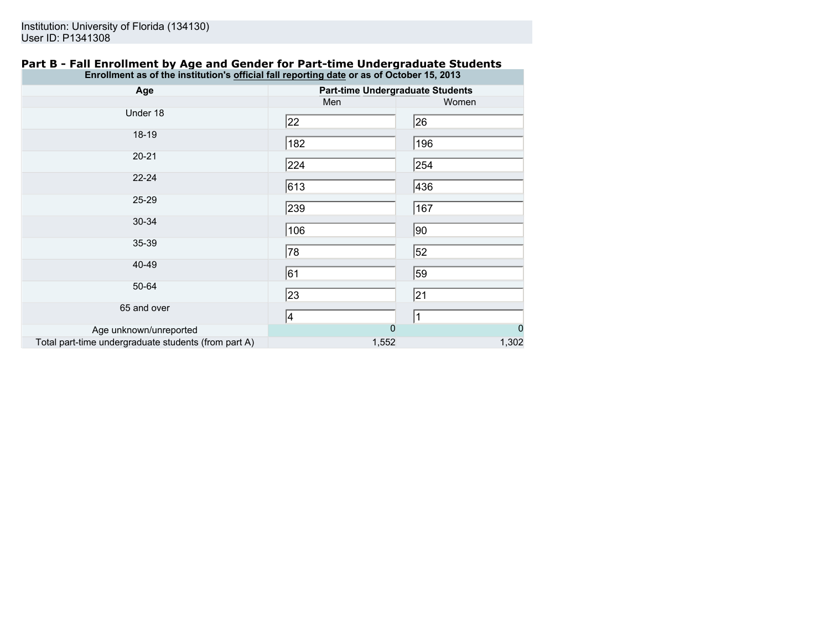### **Part B - Fall Enrollment by Age and Gender for Part-time Undergraduate Students Enrollment as of the institution's official fall reporting date or as of October 15, 2013**

| Age                                                  | <b>Part-time Undergraduate Students</b> |                |  |
|------------------------------------------------------|-----------------------------------------|----------------|--|
|                                                      | Men                                     | Women          |  |
| Under 18                                             | 22                                      | 26             |  |
| 18-19                                                | 182                                     | 196            |  |
| $20 - 21$                                            | 224                                     | 254            |  |
| 22-24                                                | 613                                     | 436            |  |
| 25-29                                                | 239                                     | 167            |  |
| 30-34                                                | 106                                     | 90             |  |
| 35-39                                                | 78                                      | 52             |  |
| 40-49                                                | 61                                      | 59             |  |
| 50-64                                                | 23                                      | 21             |  |
| 65 and over                                          | 4                                       | $\vert$ 1      |  |
| Age unknown/unreported                               | $\overline{0}$                          | $\overline{0}$ |  |
| Total part-time undergraduate students (from part A) | 1,552                                   | 1,302          |  |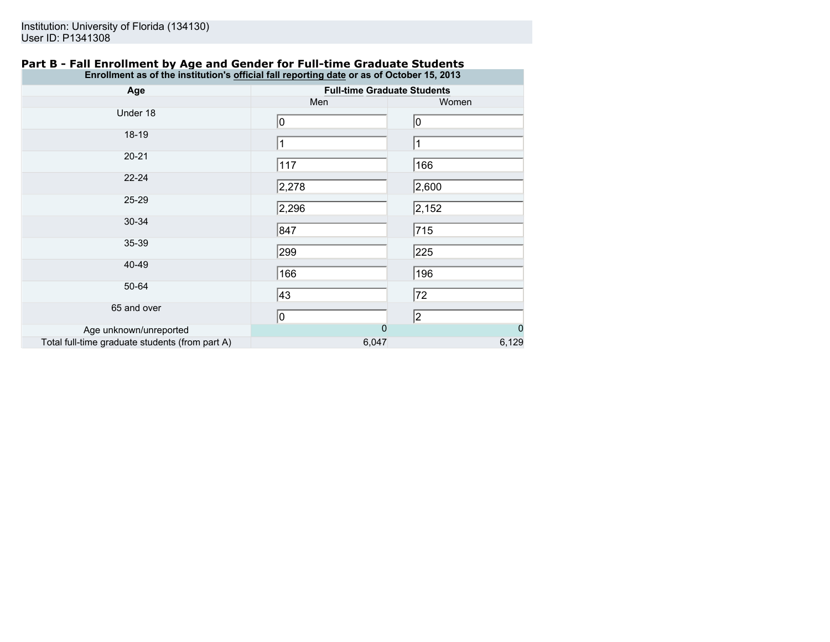## **Part B - Fall Enrollment by Age and Gender for Full-time Graduate Students Enrollment as of the institution's official fall reporting date or as of October 15, 2013**

| Age                                             | <b>Full-time Graduate Students</b> |                |  |
|-------------------------------------------------|------------------------------------|----------------|--|
|                                                 | Men                                | Women          |  |
| Under 18                                        | 0                                  | 10             |  |
| $18-19$                                         | $\vert$ 1                          |                |  |
| $20 - 21$                                       | 117                                | 166            |  |
| $22 - 24$                                       | 2,278                              | 2,600          |  |
| 25-29                                           | 2,296                              | 2,152          |  |
| 30-34                                           | 847                                | 715            |  |
| 35-39                                           | 299                                | 225            |  |
| 40-49                                           | 166                                | 196            |  |
| 50-64                                           | 43                                 | 72             |  |
| 65 and over                                     | 0                                  | 2              |  |
| Age unknown/unreported                          | $\overline{0}$                     | $\overline{0}$ |  |
| Total full-time graduate students (from part A) | 6,047                              | 6,129          |  |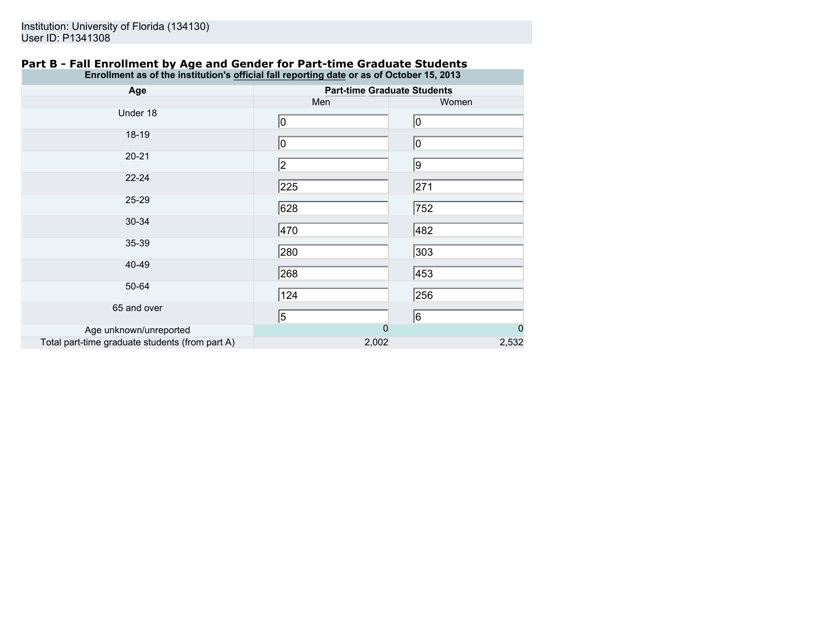| Part B - Fall Enrollment by Age and Gender for Part-time Graduate Students                |  |  |
|-------------------------------------------------------------------------------------------|--|--|
| Enrollment as of the institution's official fall reporting date or as of October 15, 2013 |  |  |

| Age                                             | <b>Part-time Graduate Students</b> |                |
|-------------------------------------------------|------------------------------------|----------------|
|                                                 | Men                                | Women          |
| Under 18                                        | 10                                 | 10             |
| 18-19                                           | 0                                  | 10             |
| $20 - 21$                                       | 2                                  | 9              |
| $22 - 24$                                       | 225                                | 271            |
| 25-29                                           | 628                                | 752            |
| 30-34                                           | 470                                | 482            |
| 35-39                                           | 280                                | 303            |
| 40-49                                           | 268                                | 453            |
| 50-64                                           | 124                                | 256            |
| 65 and over                                     | 5                                  | 6              |
| Age unknown/unreported                          | $\overline{0}$                     | $\overline{0}$ |
| Total part-time graduate students (from part A) | 2,002                              | 2,532          |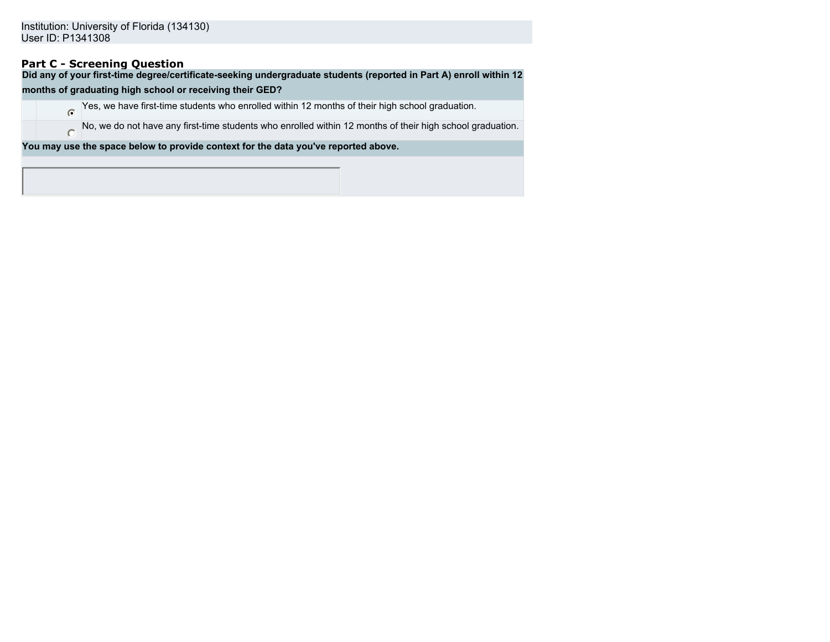# **Part C - Screening Question**

 $\circ$ 

**Did any of your first-time degree/certificate-seeking undergraduate students (reported in Part A) enroll within 12**

### **months of graduating high school or receiving their GED?**

Yes, we have first-time students who enrolled within 12 months of their high school graduation.

No, we do not have any first-time students who enrolled within 12 months of their high school graduation.

**You may use the space below to provide context for the data you've reported above.**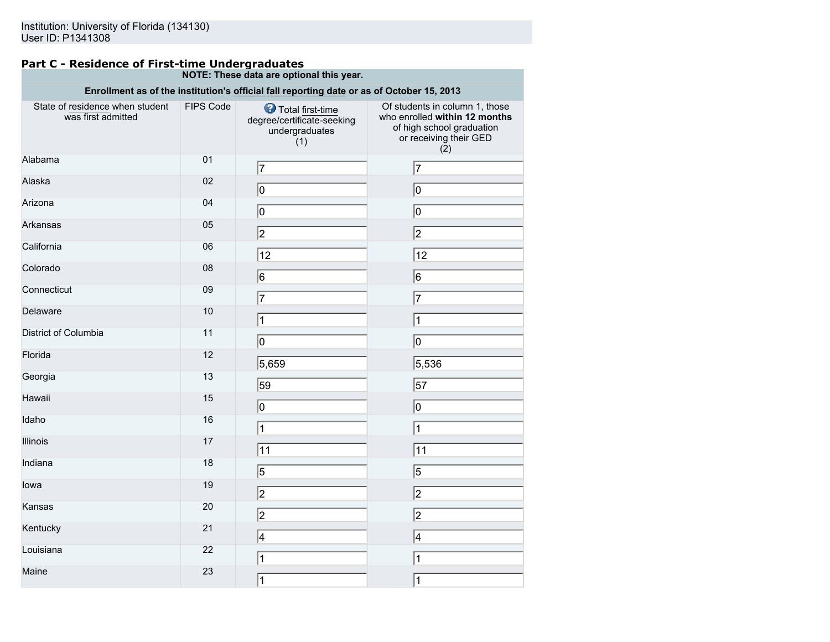### **Part C - Residence of First-time Undergraduates NOTE: These data are optional this year.**

|                                                       |           | Enrollment as of the institution's official fall reporting date or as of October 15, 2013 |                                                                                                                               |
|-------------------------------------------------------|-----------|-------------------------------------------------------------------------------------------|-------------------------------------------------------------------------------------------------------------------------------|
| State of residence when student<br>was first admitted | FIPS Code | Total first-time<br>degree/certificate-seeking<br>undergraduates<br>(1)                   | Of students in column 1, those<br>who enrolled within 12 months<br>of high school graduation<br>or receiving their GED<br>(2) |
| Alabama                                               | 01        | 17                                                                                        | 7                                                                                                                             |
| Alaska                                                | 02        | 0                                                                                         | 10                                                                                                                            |
| Arizona                                               | 04        | 0                                                                                         | 0                                                                                                                             |
| Arkansas                                              | 05        | $\overline{2}$                                                                            | 2                                                                                                                             |
| California                                            | 06        | 12                                                                                        | 12                                                                                                                            |
| Colorado                                              | 08        | $\overline{6}$                                                                            | $\overline{6}$                                                                                                                |
| Connecticut                                           | 09        | $\overline{7}$                                                                            | 7                                                                                                                             |
| Delaware                                              | 10        | 1                                                                                         | 1                                                                                                                             |
| District of Columbia                                  | 11        | 0                                                                                         | 10                                                                                                                            |
| Florida                                               | 12        | 5,659                                                                                     | 5,536                                                                                                                         |
| Georgia                                               | 13        | 59                                                                                        | $\overline{57}$                                                                                                               |
| Hawaii                                                | 15        | 0                                                                                         | $ 0\rangle$                                                                                                                   |
| Idaho                                                 | 16        | 1                                                                                         | $\mathbf{1}$                                                                                                                  |
| Illinois                                              | 17        |                                                                                           |                                                                                                                               |
| Indiana                                               | 18        | 11                                                                                        | 11                                                                                                                            |
| lowa                                                  | 19        | $\overline{5}$                                                                            | $\overline{5}$                                                                                                                |
| Kansas                                                | 20        | $\overline{2}$                                                                            | $\overline{2}$                                                                                                                |
|                                                       | 21        | 2                                                                                         | 2                                                                                                                             |
| Kentucky                                              |           | 4                                                                                         | 4                                                                                                                             |
| Louisiana                                             | 22        | 1                                                                                         | $\mathbf{1}$                                                                                                                  |
| Maine                                                 | 23        | 1                                                                                         | $\mathbf 1$                                                                                                                   |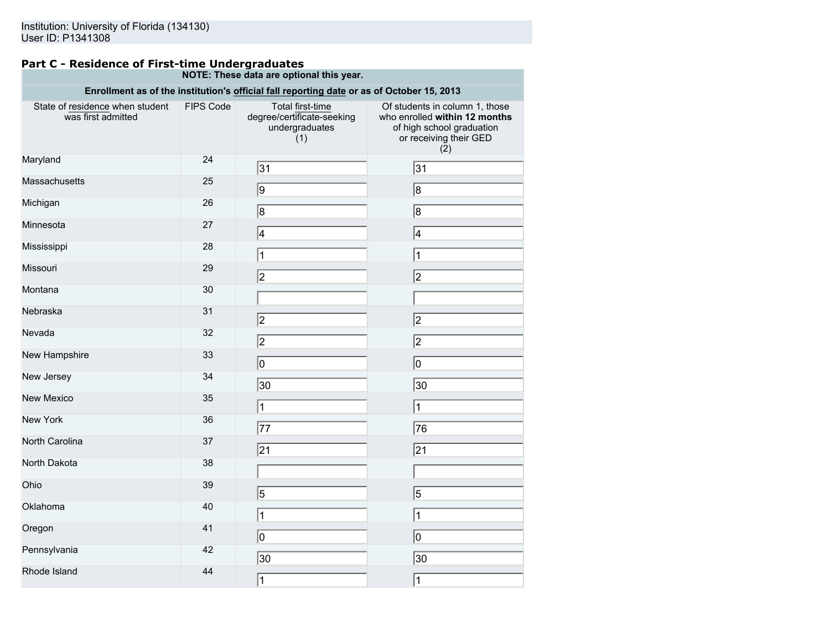#### **Part C - Residence of First-time Undergraduates NOTE: These data are optional this year.**

| Enrollment as of the institution's official fall reporting date or as of October 15, 2013 |           |                                                                         |                                                                                                                               |  |
|-------------------------------------------------------------------------------------------|-----------|-------------------------------------------------------------------------|-------------------------------------------------------------------------------------------------------------------------------|--|
| State of residence when student<br>was first admitted                                     | FIPS Code | Total first-time<br>degree/certificate-seeking<br>undergraduates<br>(1) | Of students in column 1, those<br>who enrolled within 12 months<br>of high school graduation<br>or receiving their GED<br>(2) |  |
| Maryland                                                                                  | 24        | 31                                                                      | 31                                                                                                                            |  |
| Massachusetts                                                                             | 25        | 9                                                                       | 8                                                                                                                             |  |
| Michigan                                                                                  | 26        | $\overline{\mathsf{8}}$                                                 | 8                                                                                                                             |  |
| Minnesota                                                                                 | 27        | 4                                                                       | 4                                                                                                                             |  |
| Mississippi                                                                               | 28        | 1                                                                       | 1                                                                                                                             |  |
| Missouri                                                                                  | 29        | $\overline{2}$                                                          | 2                                                                                                                             |  |
| Montana                                                                                   | 30        |                                                                         |                                                                                                                               |  |
| Nebraska                                                                                  | 31        | $\overline{2}$                                                          | 2                                                                                                                             |  |
| Nevada                                                                                    | 32        | 2                                                                       | 2                                                                                                                             |  |
| New Hampshire                                                                             | 33        | ⋒                                                                       | 10                                                                                                                            |  |
| New Jersey                                                                                | 34        | $ 30\rangle$                                                            | $ 30\rangle$                                                                                                                  |  |
| <b>New Mexico</b>                                                                         | 35        | $\mathbf 1$                                                             | $\overline{1}$                                                                                                                |  |
| <b>New York</b>                                                                           | 36        | 77                                                                      | 76                                                                                                                            |  |
| North Carolina                                                                            | 37        | 21                                                                      | 21                                                                                                                            |  |
| North Dakota                                                                              | 38        |                                                                         |                                                                                                                               |  |
| Ohio                                                                                      | 39        | 5                                                                       |                                                                                                                               |  |
| Oklahoma                                                                                  | 40        |                                                                         | 5                                                                                                                             |  |
| Oregon                                                                                    | 41        | 1                                                                       | $\vert$ 1                                                                                                                     |  |
| Pennsylvania                                                                              | 42        | ⊚                                                                       | $ 0\rangle$                                                                                                                   |  |
| Rhode Island                                                                              |           | 30                                                                      | 30                                                                                                                            |  |
|                                                                                           | 44        | $\mathbf{1}$                                                            | $\mathbf{1}$                                                                                                                  |  |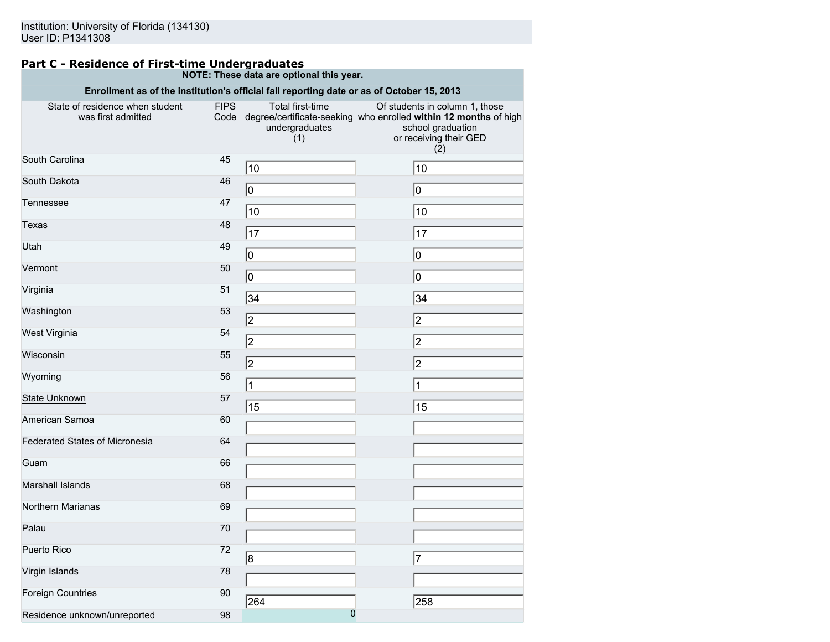#### **Part C - Residence of First-time Undergraduates NOTE: These data are optional this year.**

| Enrollment as of the institution's official fall reporting date or as of October 15, 2013 |                     |                                           |                                                                                                                                                                       |  |  |
|-------------------------------------------------------------------------------------------|---------------------|-------------------------------------------|-----------------------------------------------------------------------------------------------------------------------------------------------------------------------|--|--|
| State of residence when student<br>was first admitted                                     | <b>FIPS</b><br>Code | Total first-time<br>undergraduates<br>(1) | Of students in column 1, those<br>degree/certificate-seeking who enrolled within 12 months of high<br>school graduation<br>or receiving their GED<br>$(\overline{2})$ |  |  |
| South Carolina                                                                            | 45                  | 10                                        | 10                                                                                                                                                                    |  |  |
| South Dakota                                                                              | 46                  | $ 0\rangle$                               | $\overline{0}$                                                                                                                                                        |  |  |
| Tennessee                                                                                 | 47                  | 10                                        | 10                                                                                                                                                                    |  |  |
| Texas                                                                                     | 48                  | 17                                        | 17                                                                                                                                                                    |  |  |
| Utah                                                                                      | 49                  | 0                                         | 10                                                                                                                                                                    |  |  |
| Vermont                                                                                   | 50                  | $\overline{0}$                            | $\overline{0}$                                                                                                                                                        |  |  |
| Virginia                                                                                  | 51                  | 34                                        | 34                                                                                                                                                                    |  |  |
| Washington                                                                                | 53                  | 2                                         | 2                                                                                                                                                                     |  |  |
| West Virginia                                                                             | 54                  | $\sqrt{2}$                                | 2                                                                                                                                                                     |  |  |
| Wisconsin                                                                                 | 55                  | $\sqrt{2}$                                | $\overline{2}$                                                                                                                                                        |  |  |
| Wyoming                                                                                   | 56                  | $\vert$ 1                                 | $\vert$ 1                                                                                                                                                             |  |  |
| State Unknown                                                                             | 57                  | 15                                        | 15                                                                                                                                                                    |  |  |
| American Samoa                                                                            | 60                  |                                           |                                                                                                                                                                       |  |  |
| <b>Federated States of Micronesia</b>                                                     | 64                  |                                           |                                                                                                                                                                       |  |  |
| Guam                                                                                      | 66                  |                                           |                                                                                                                                                                       |  |  |
| <b>Marshall Islands</b>                                                                   | 68                  |                                           |                                                                                                                                                                       |  |  |
| Northern Marianas                                                                         | 69                  |                                           |                                                                                                                                                                       |  |  |
| Palau                                                                                     | 70                  |                                           |                                                                                                                                                                       |  |  |
| Puerto Rico                                                                               | 72                  | 8                                         | 17                                                                                                                                                                    |  |  |
| Virgin Islands                                                                            | 78                  |                                           |                                                                                                                                                                       |  |  |
| <b>Foreign Countries</b>                                                                  | 90                  | 264                                       | 258                                                                                                                                                                   |  |  |
| Residence unknown/unreported                                                              | 98                  | $\overline{0}$                            |                                                                                                                                                                       |  |  |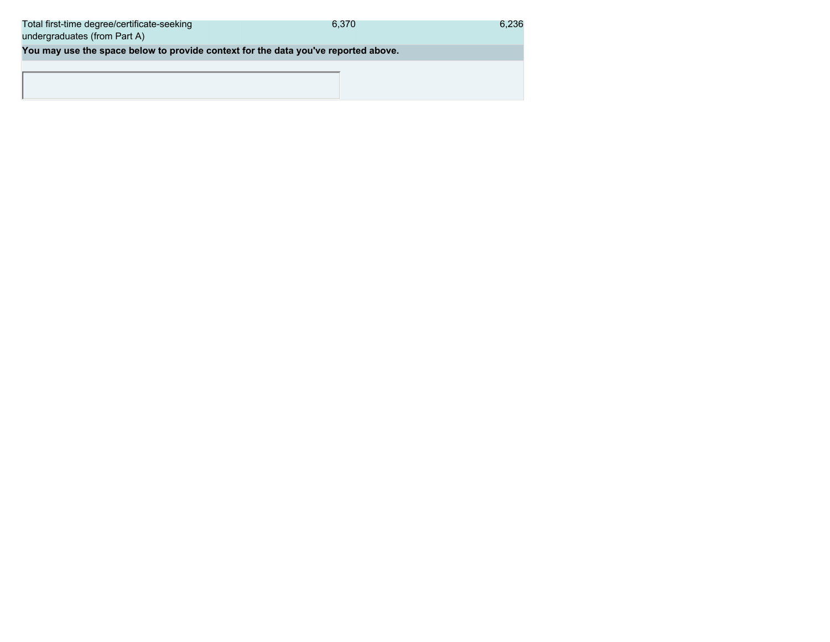| Total first-time degree/certificate-seeking<br>undergraduates (from Part A)        | 6.370 | 6.236 |
|------------------------------------------------------------------------------------|-------|-------|
| You may use the space below to provide context for the data you've reported above. |       |       |
|                                                                                    |       |       |
|                                                                                    |       |       |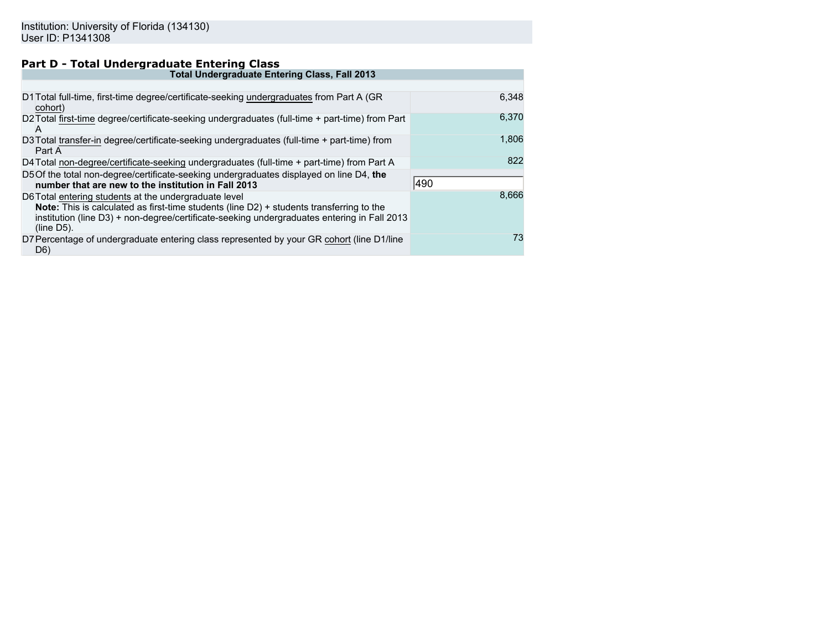# **Part D - Total Undergraduate Entering Class**

| <b>Total Undergraduate Entering Class, Fall 2013</b>                                                                                                                                                                                                              |       |  |  |
|-------------------------------------------------------------------------------------------------------------------------------------------------------------------------------------------------------------------------------------------------------------------|-------|--|--|
|                                                                                                                                                                                                                                                                   |       |  |  |
| D1 Total full-time, first-time degree/certificate-seeking undergraduates from Part A (GR<br>cohort)                                                                                                                                                               | 6.348 |  |  |
| D2Total first-time degree/certificate-seeking undergraduates (full-time + part-time) from Part<br>A                                                                                                                                                               | 6.370 |  |  |
| D3 Total transfer-in degree/certificate-seeking undergraduates (full-time + part-time) from<br>Part A                                                                                                                                                             | 1,806 |  |  |
| D4 Total non-degree/certificate-seeking undergraduates (full-time + part-time) from Part A                                                                                                                                                                        | 822   |  |  |
| D5 Of the total non-degree/certificate-seeking undergraduates displayed on line D4, the<br>number that are new to the institution in Fall 2013                                                                                                                    | 490   |  |  |
| D6 Total entering students at the undergraduate level<br>Note: This is calculated as first-time students (line D2) + students transferring to the<br>institution (line D3) + non-degree/certificate-seeking undergraduates entering in Fall 2013<br>$(line D5)$ . | 8.666 |  |  |
| D7 Percentage of undergraduate entering class represented by your GR cohort (line D1/line<br>D <sub>6</sub>                                                                                                                                                       | 73    |  |  |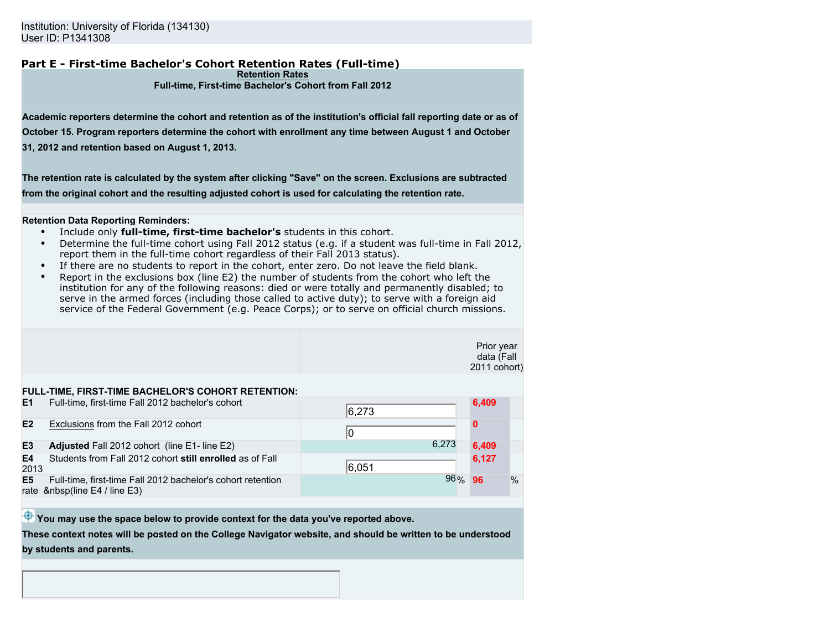#### **Part E - First-time Bachelor's Cohort Retention Rates (Full-time) Retention Rates**

#### **Full-time, First-time Bachelor's Cohort from Fall 2012**

**Academic reporters determine the cohort and retention as of the institution's official fall reporting date or as of October 15. Program reporters determine the cohort with enrollment any time between August 1 and October 31, 2012 and retention based on August 1, 2013.**

**The retention rate is calculated by the system after clicking "Save" on the screen. Exclusions are subtracted from the original cohort and the resulting adjusted cohort is used for calculating the retention rate.**

#### **Retention Data Reporting Reminders:**

- Include only **full-time, first-time bachelor's** students in this cohort.
- Determine the full-time cohort using Fall 2012 status (e.g. if a student was full-time in Fall 2012, report them in the full-time cohort regardless of their Fall 2013 status).
- If there are no students to report in the cohort, enter zero. Do not leave the field blank.
- Report in the exclusions box (line E2) the number of students from the cohort who left the institution for any of the following reasons: died or were totally and permanently disabled; to serve in the armed forces (including those called to active duty); to serve with a foreign aid service of the Federal Government (e.g. Peace Corps); or to serve on official church missions.

|                        |                                                                                          |        | Prior year<br>data (Fall<br>2011 cohort) |      |
|------------------------|------------------------------------------------------------------------------------------|--------|------------------------------------------|------|
|                        | FULL-TIME, FIRST-TIME BACHELOR'S COHORT RETENTION:                                       |        |                                          |      |
| E1                     | Full-time, first-time Fall 2012 bachelor's cohort                                        | 6,273  | 6,409                                    |      |
| E2                     | Exclusions from the Fall 2012 cohort                                                     | 10     | $\bf{0}$                                 |      |
| E <sub>3</sub>         | <b>Adjusted</b> Fall 2012 cohort (line E1-line E2)                                       | 6.273  | 6,409                                    |      |
| E <sub>4</sub><br>2013 | Students from Fall 2012 cohort still enrolled as of Fall                                 | 6,051  | 6,127                                    |      |
| E <sub>5</sub>         | Full-time, first-time Fall 2012 bachelor's cohort retention<br>rate  (line E4 / line E3) | 96% 96 |                                          | $\%$ |
|                        |                                                                                          |        |                                          |      |

 $\bigoplus$  You may use the space below to provide context for the data you've reported above.

**These context notes will be posted on the College Navigator website, and should be written to be understood by students and parents.**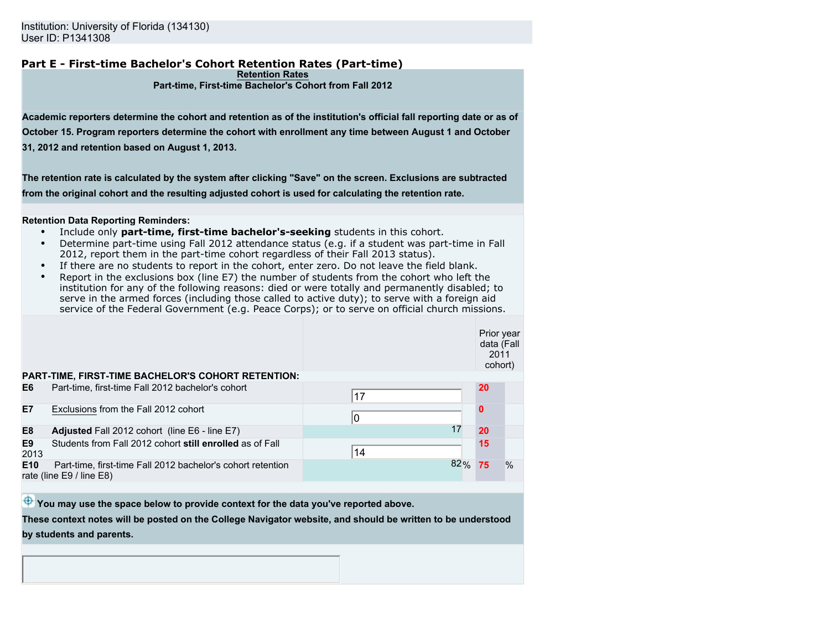#### **Part E - First-time Bachelor's Cohort Retention Rates (Part-time) Retention Rates**

#### **Part-time, First-time Bachelor's Cohort from Fall 2012**

**Academic reporters determine the cohort and retention as of the institution's official fall reporting date or as of October 15. Program reporters determine the cohort with enrollment any time between August 1 and October 31, 2012 and retention based on August 1, 2013.**

**The retention rate is calculated by the system after clicking "Save" on the screen. Exclusions are subtracted from the original cohort and the resulting adjusted cohort is used for calculating the retention rate.**

#### **Retention Data Reporting Reminders:**

- Include only **part-time, first-time bachelor's-seeking** students in this cohort.
- Determine part-time using Fall 2012 attendance status (e.g. if a student was part-time in Fall 2012, report them in the part-time cohort regardless of their Fall 2013 status).
- If there are no students to report in the cohort, enter zero. Do not leave the field blank.
- Report in the exclusions box (line E7) the number of students from the cohort who left the institution for any of the following reasons: died or were totally and permanently disabled; to serve in the armed forces (including those called to active duty); to serve with a foreign aid service of the Federal Government (e.g. Peace Corps); or to serve on official church missions.

|                        |                                                                                             |        | Prior year<br>data (Fall<br>2011<br>cohort) |      |
|------------------------|---------------------------------------------------------------------------------------------|--------|---------------------------------------------|------|
|                        | PART-TIME, FIRST-TIME BACHELOR'S COHORT RETENTION:                                          |        |                                             |      |
| E <sub>6</sub>         | Part-time, first-time Fall 2012 bachelor's cohort                                           | 17     | <b>20</b>                                   |      |
| E7                     | Exclusions from the Fall 2012 cohort                                                        | 10     | $\Omega$                                    |      |
| E <sub>8</sub>         | Adjusted Fall 2012 cohort (line E6 - line E7)                                               | 17     | 20                                          |      |
| E <sub>9</sub><br>2013 | Students from Fall 2012 cohort still enrolled as of Fall                                    | 14     | 15                                          |      |
| E <sub>10</sub>        | Part-time, first-time Fall 2012 bachelor's cohort retention<br>rate (line $E9/$ line $E8$ ) | 82% 75 |                                             | $\%$ |
|                        |                                                                                             |        |                                             |      |

 $\bigoplus$  You may use the space below to provide context for the data you've reported above.

**These context notes will be posted on the College Navigator website, and should be written to be understood by students and parents.**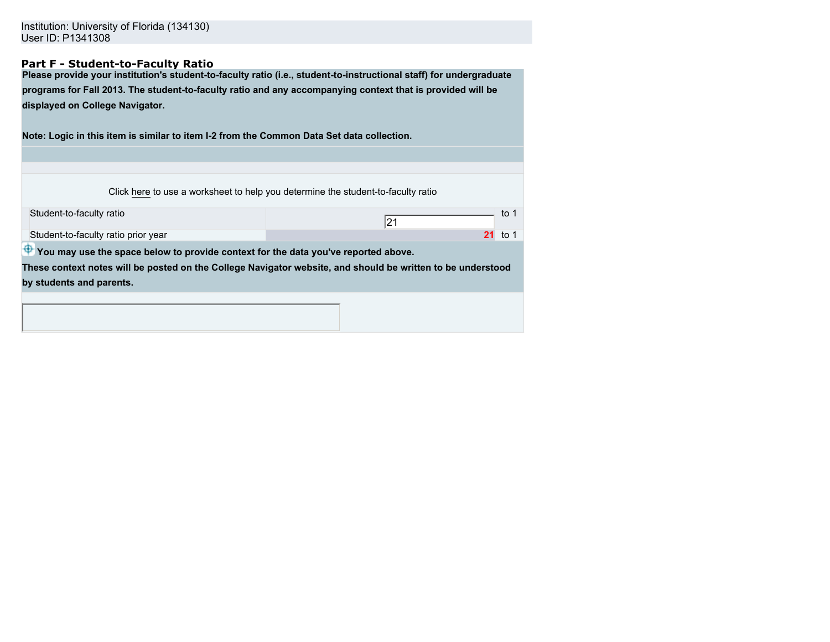## **Part F - Student-to-Faculty Ratio**

**Please provide your institution's student-to-faculty ratio (i.e., student-to-instructional staff) for undergraduate programs for Fall 2013. The student-to-faculty ratio and any accompanying context that is provided will be displayed on College Navigator.**

**Note: Logic in this item is similar to item I-2 from the Common Data Set data collection.**

Click here to use a worksheet to help you determine the student-to-faculty ratio

| Student-to-faculty ratio                                                                       | to $1$<br> 21                                                                                               |  |  |  |
|------------------------------------------------------------------------------------------------|-------------------------------------------------------------------------------------------------------------|--|--|--|
| Student-to-faculty ratio prior year                                                            | $21$ to 1                                                                                                   |  |  |  |
| $\bigoplus$ You may use the space below to provide context for the data you've reported above. |                                                                                                             |  |  |  |
|                                                                                                | These context notes will be posted on the College Navigator website, and should be written to be understood |  |  |  |
| by students and parents.                                                                       |                                                                                                             |  |  |  |
|                                                                                                |                                                                                                             |  |  |  |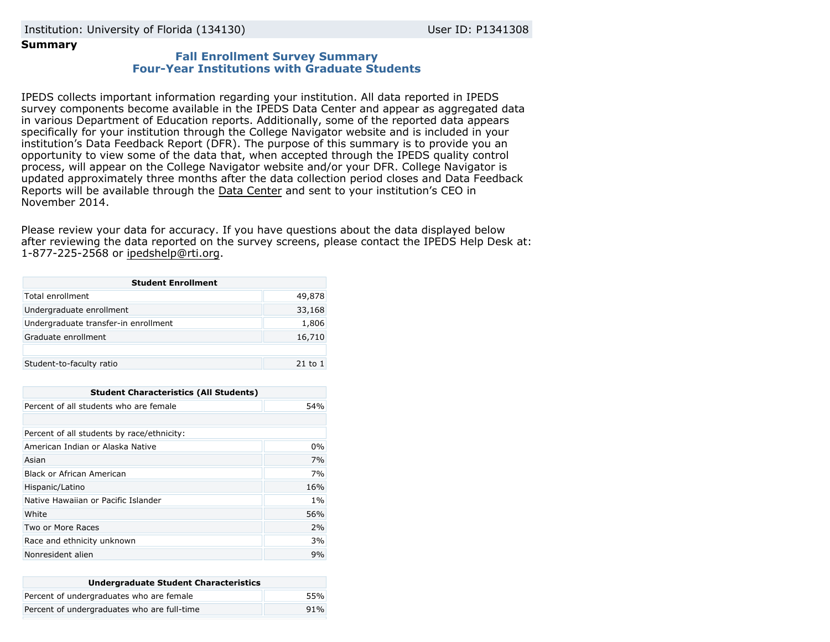## **Summary**

## **Fall Enrollment Survey Summary Four-Year Institutions with Graduate Students**

IPEDS collects important information regarding your institution. All data reported in IPEDS survey components become available in the IPEDS Data Center and appear as aggregated data in various Department of Education reports. Additionally, some of the reported data appears specifically for your institution through the College Navigator website and is included in your institution's Data Feedback Report (DFR). The purpose of this summary is to provide you an opportunity to view some of the data that, when accepted through the IPEDS quality control process, will appear on the College Navigator website and/or your DFR. College Navigator is updated approximately three months after the data collection period closes and Data Feedback Reports will be available through the [Data Center](http://nces.ed.gov/ipeds/datacenter/) and sent to your institution's CEO in November 2014.

Please review your data for accuracy. If you have questions about the data displayed below after reviewing the data reported on the survey screens, please contact the IPEDS Help Desk at: 1-877-225-2568 or ipedshelp@rti.org.

| <b>Student Enrollment</b>            |         |  |
|--------------------------------------|---------|--|
| Total enrollment                     | 49,878  |  |
| Undergraduate enrollment             | 33,168  |  |
| Undergraduate transfer-in enrollment | 1,806   |  |
| Graduate enrollment                  | 16,710  |  |
|                                      |         |  |
| Student-to-faculty ratio             | 21 to 1 |  |

| <b>Student Characteristics (All Students)</b> |     |  |
|-----------------------------------------------|-----|--|
| Percent of all students who are female        | 54% |  |
|                                               |     |  |
| Percent of all students by race/ethnicity:    |     |  |
| American Indian or Alaska Native              | 0%  |  |
| Asian                                         | 7%  |  |
| Black or African American                     | 7%  |  |
| Hispanic/Latino                               | 16% |  |
| Native Hawaiian or Pacific Islander           | 1%  |  |
| White                                         | 56% |  |
| Two or More Races                             | 2%  |  |
| Race and ethnicity unknown                    | 3%  |  |
| Nonresident alien                             | 9%  |  |

| <b>Undergraduate Student Characteristics</b> |     |  |
|----------------------------------------------|-----|--|
| Percent of undergraduates who are female     | 55% |  |
| Percent of undergraduates who are full-time  | 91% |  |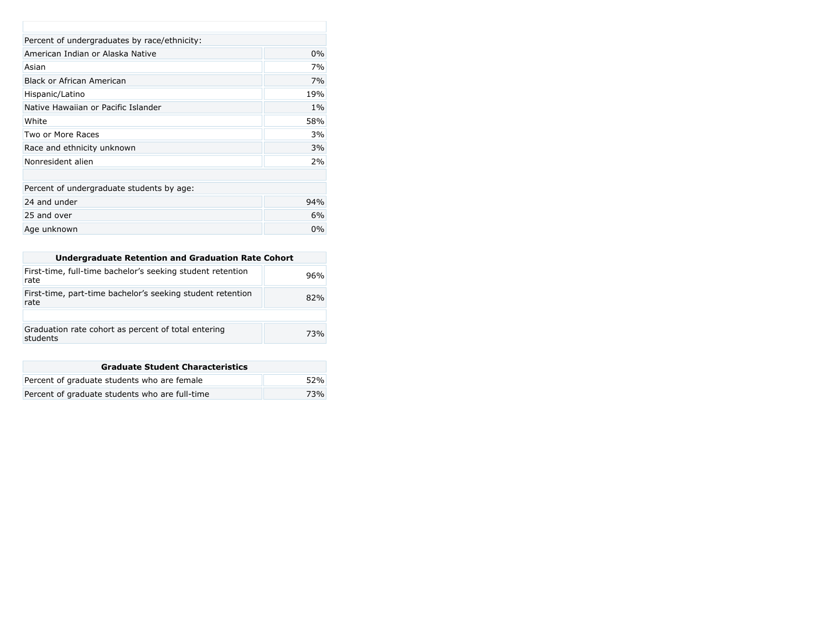| Percent of undergraduates by race/ethnicity: |       |  |
|----------------------------------------------|-------|--|
| American Indian or Alaska Native             | $0\%$ |  |
| Asian                                        | 7%    |  |
| Black or African American                    | 7%    |  |
| Hispanic/Latino                              | 19%   |  |
| Native Hawaiian or Pacific Islander          | $1\%$ |  |
| White                                        | 58%   |  |
| Two or More Races                            | 3%    |  |
| Race and ethnicity unknown                   | 3%    |  |
| Nonresident alien                            | 2%    |  |
|                                              |       |  |
| Percent of undergraduate students by age:    |       |  |
| 24 and under                                 | 94%   |  |
| 25 and over                                  | 6%    |  |
| Age unknown                                  | 0%    |  |

| Undergraduate Retention and Graduation Rate Cohort                 |     |
|--------------------------------------------------------------------|-----|
| First-time, full-time bachelor's seeking student retention<br>rate | 96% |
| First-time, part-time bachelor's seeking student retention<br>rate | 82% |
|                                                                    |     |
| Graduation rate cohort as percent of total entering<br>students    | 73% |

| <b>Graduate Student Characteristics</b>        |     |  |
|------------------------------------------------|-----|--|
| Percent of graduate students who are female    | 52% |  |
| Percent of graduate students who are full-time | 73% |  |